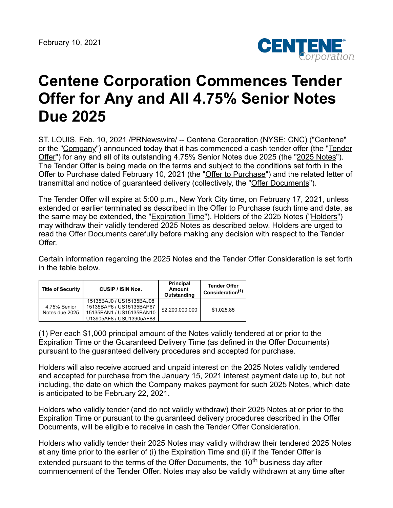

## **Centene Corporation Commences Tender Offer for Any and All 4.75% Senior Notes Due 2025**

ST. LOUIS, Feb. 10, 2021 /PRNewswire/ -- Centene Corporation (NYSE: CNC) ("Centene" or the "Company") announced today that it has commenced a cash tender offer (the "Tender Offer") for any and all of its outstanding 4.75% Senior Notes due 2025 (the "2025 Notes"). The Tender Offer is being made on the terms and subject to the conditions set forth in the Offer to Purchase dated February 10, 2021 (the "Offer to Purchase") and the related letter of transmittal and notice of guaranteed delivery (collectively, the "Offer Documents").

The Tender Offer will expire at 5:00 p.m., New York City time, on February 17, 2021, unless extended or earlier terminated as described in the Offer to Purchase (such time and date, as the same may be extended, the "**Expiration Time**"). Holders of the 2025 Notes ("Holders") may withdraw their validly tendered 2025 Notes as described below. Holders are urged to read the Offer Documents carefully before making any decision with respect to the Tender Offer.

Certain information regarding the 2025 Notes and the Tender Offer Consideration is set forth in the table below.

| <b>Title of Security</b>       | <b>CUSIP / ISIN Nos.</b>                                                                                     | Principal<br><b>Amount</b><br>Outstanding | <b>Tender Offer</b><br>Consideration <sup>(1)</sup> |
|--------------------------------|--------------------------------------------------------------------------------------------------------------|-------------------------------------------|-----------------------------------------------------|
| 4.75% Senior<br>Notes due 2025 | 15135BAJ0 / US15135BAJ08<br>15135BAP6 / US15135BAP67<br>15135BAN1 / US15135BAN10<br>U13905AF8 / USU13905AF88 | \$2,200,000,000                           | \$1,025.85                                          |

(1) Per each \$1,000 principal amount of the Notes validly tendered at or prior to the Expiration Time or the Guaranteed Delivery Time (as defined in the Offer Documents) pursuant to the guaranteed delivery procedures and accepted for purchase.

Holders will also receive accrued and unpaid interest on the 2025 Notes validly tendered and accepted for purchase from the January 15, 2021 interest payment date up to, but not including, the date on which the Company makes payment for such 2025 Notes, which date is anticipated to be February 22, 2021.

Holders who validly tender (and do not validly withdraw) their 2025 Notes at or prior to the Expiration Time or pursuant to the guaranteed delivery procedures described in the Offer Documents, will be eligible to receive in cash the Tender Offer Consideration.

Holders who validly tender their 2025 Notes may validly withdraw their tendered 2025 Notes at any time prior to the earlier of (i) the Expiration Time and (ii) if the Tender Offer is extended pursuant to the terms of the Offer Documents, the 10<sup>th</sup> business day after commencement of the Tender Offer. Notes may also be validly withdrawn at any time after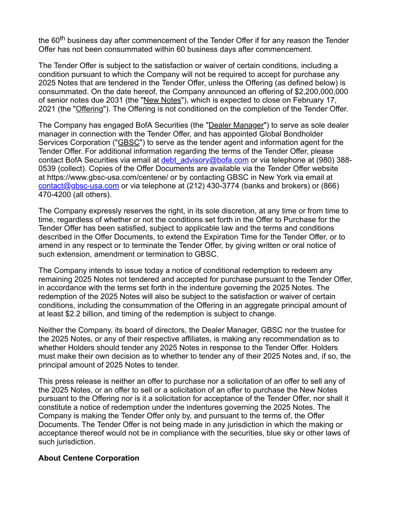the 60<sup>th</sup> business day after commencement of the Tender Offer if for any reason the Tender Offer has not been consummated within 60 business days after commencement.

The Tender Offer is subject to the satisfaction or waiver of certain conditions, including a condition pursuant to which the Company will not be required to accept for purchase any 2025 Notes that are tendered in the Tender Offer, unless the Offering (as defined below) is consummated. On the date hereof, the Company announced an offering of \$2,200,000,000 of senior notes due 2031 (the "New Notes"), which is expected to close on February 17, 2021 (the "Offering"). The Offering is not conditioned on the completion of the Tender Offer.

The Company has engaged BofA Securities (the "Dealer Manager") to serve as sole dealer manager in connection with the Tender Offer, and has appointed Global Bondholder Services Corporation ("GBSC") to serve as the tender agent and information agent for the Tender Offer. For additional information regarding the terms of the Tender Offer, please contact BofA Securities via email at debt advisory@bofa.com or via telephone at (980) 388-0539 (collect). Copies of the Offer Documents are available via the Tender Offer website at https://www.gbsc-usa.com/centene/ or by contacting GBSC in New York via email at [contact@gbsc-usa.com](mailto:contact@gbsc-usa.com) or via telephone at (212) 430-3774 (banks and brokers) or (866) 470-4200 (all others).

The Company expressly reserves the right, in its sole discretion, at any time or from time to time, regardless of whether or not the conditions set forth in the Offer to Purchase for the Tender Offer has been satisfied, subject to applicable law and the terms and conditions described in the Offer Documents, to extend the Expiration Time for the Tender Offer, or to amend in any respect or to terminate the Tender Offer, by giving written or oral notice of such extension, amendment or termination to GBSC.

The Company intends to issue today a notice of conditional redemption to redeem any remaining 2025 Notes not tendered and accepted for purchase pursuant to the Tender Offer, in accordance with the terms set forth in the indenture governing the 2025 Notes. The redemption of the 2025 Notes will also be subject to the satisfaction or waiver of certain conditions, including the consummation of the Offering in an aggregate principal amount of at least \$2.2 billion, and timing of the redemption is subject to change.

Neither the Company, its board of directors, the Dealer Manager, GBSC nor the trustee for the 2025 Notes, or any of their respective affiliates, is making any recommendation as to whether Holders should tender any 2025 Notes in response to the Tender Offer. Holders must make their own decision as to whether to tender any of their 2025 Notes and, if so, the principal amount of 2025 Notes to tender.

This press release is neither an offer to purchase nor a solicitation of an offer to sell any of the 2025 Notes, or an offer to sell or a solicitation of an offer to purchase the New Notes pursuant to the Offering nor is it a solicitation for acceptance of the Tender Offer, nor shall it constitute a notice of redemption under the indentures governing the 2025 Notes. The Company is making the Tender Offer only by, and pursuant to the terms of, the Offer Documents. The Tender Offer is not being made in any jurisdiction in which the making or acceptance thereof would not be in compliance with the securities, blue sky or other laws of such jurisdiction.

## **About Centene Corporation**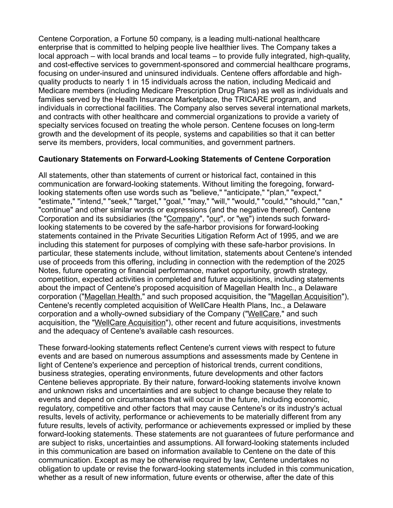Centene Corporation, a Fortune 50 company, is a leading multi-national healthcare enterprise that is committed to helping people live healthier lives. The Company takes a local approach – with local brands and local teams – to provide fully integrated, high-quality, and cost-effective services to government-sponsored and commercial healthcare programs, focusing on under-insured and uninsured individuals. Centene offers affordable and highquality products to nearly 1 in 15 individuals across the nation, including Medicaid and Medicare members (including Medicare Prescription Drug Plans) as well as individuals and families served by the Health Insurance Marketplace, the TRICARE program, and individuals in correctional facilities. The Company also serves several international markets, and contracts with other healthcare and commercial organizations to provide a variety of specialty services focused on treating the whole person. Centene focuses on long-term growth and the development of its people, systems and capabilities so that it can better serve its members, providers, local communities, and government partners.

## **Cautionary Statements on Forward-Looking Statements of Centene Corporation**

All statements, other than statements of current or historical fact, contained in this communication are forward-looking statements. Without limiting the foregoing, forwardlooking statements often use words such as "believe," "anticipate," "plan," "expect," "estimate," "intend," "seek," "target," "goal," "may," "will," "would," "could," "should," "can," "continue" and other similar words or expressions (and the negative thereof). Centene Corporation and its subsidiaries (the "Company", "our", or "we") intends such forwardlooking statements to be covered by the safe-harbor provisions for forward-looking statements contained in the Private Securities Litigation Reform Act of 1995, and we are including this statement for purposes of complying with these safe-harbor provisions. In particular, these statements include, without limitation, statements about Centene's intended use of proceeds from this offering, including in connection with the redemption of the 2025 Notes, future operating or financial performance, market opportunity, growth strategy, competition, expected activities in completed and future acquisitions, including statements about the impact of Centene's proposed acquisition of Magellan Health Inc., a Delaware corporation ("Magellan Health," and such proposed acquisition, the "Magellan Acquisition"), Centene's recently completed acquisition of WellCare Health Plans, Inc., a Delaware corporation and a wholly-owned subsidiary of the Company ("WellCare," and such acquisition, the "WellCare Acquisition"), other recent and future acquisitions, investments and the adequacy of Centene's available cash resources.

These forward-looking statements reflect Centene's current views with respect to future events and are based on numerous assumptions and assessments made by Centene in light of Centene's experience and perception of historical trends, current conditions, business strategies, operating environments, future developments and other factors Centene believes appropriate. By their nature, forward-looking statements involve known and unknown risks and uncertainties and are subject to change because they relate to events and depend on circumstances that will occur in the future, including economic, regulatory, competitive and other factors that may cause Centene's or its industry's actual results, levels of activity, performance or achievements to be materially different from any future results, levels of activity, performance or achievements expressed or implied by these forward-looking statements. These statements are not guarantees of future performance and are subject to risks, uncertainties and assumptions. All forward-looking statements included in this communication are based on information available to Centene on the date of this communication. Except as may be otherwise required by law, Centene undertakes no obligation to update or revise the forward-looking statements included in this communication, whether as a result of new information, future events or otherwise, after the date of this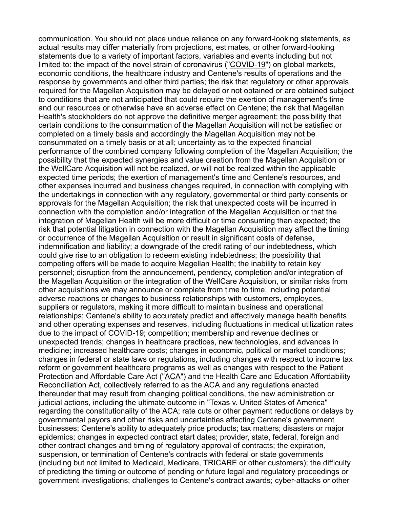communication. You should not place undue reliance on any forward-looking statements, as actual results may differ materially from projections, estimates, or other forward-looking statements due to a variety of important factors, variables and events including but not limited to: the impact of the novel strain of coronavirus ("COVID-19") on global markets, economic conditions, the healthcare industry and Centene's results of operations and the response by governments and other third parties; the risk that regulatory or other approvals required for the Magellan Acquisition may be delayed or not obtained or are obtained subject to conditions that are not anticipated that could require the exertion of management's time and our resources or otherwise have an adverse effect on Centene; the risk that Magellan Health's stockholders do not approve the definitive merger agreement; the possibility that certain conditions to the consummation of the Magellan Acquisition will not be satisfied or completed on a timely basis and accordingly the Magellan Acquisition may not be consummated on a timely basis or at all; uncertainty as to the expected financial performance of the combined company following completion of the Magellan Acquisition; the possibility that the expected synergies and value creation from the Magellan Acquisition or the WellCare Acquisition will not be realized, or will not be realized within the applicable expected time periods; the exertion of management's time and Centene's resources, and other expenses incurred and business changes required, in connection with complying with the undertakings in connection with any regulatory, governmental or third party consents or approvals for the Magellan Acquisition; the risk that unexpected costs will be incurred in connection with the completion and/or integration of the Magellan Acquisition or that the integration of Magellan Health will be more difficult or time consuming than expected; the risk that potential litigation in connection with the Magellan Acquisition may affect the timing or occurrence of the Magellan Acquisition or result in significant costs of defense, indemnification and liability; a downgrade of the credit rating of our indebtedness, which could give rise to an obligation to redeem existing indebtedness; the possibility that competing offers will be made to acquire Magellan Health; the inability to retain key personnel; disruption from the announcement, pendency, completion and/or integration of the Magellan Acquisition or the integration of the WellCare Acquisition, or similar risks from other acquisitions we may announce or complete from time to time, including potential adverse reactions or changes to business relationships with customers, employees, suppliers or regulators, making it more difficult to maintain business and operational relationships; Centene's ability to accurately predict and effectively manage health benefits and other operating expenses and reserves, including fluctuations in medical utilization rates due to the impact of COVID-19; competition; membership and revenue declines or unexpected trends; changes in healthcare practices, new technologies, and advances in medicine; increased healthcare costs; changes in economic, political or market conditions; changes in federal or state laws or regulations, including changes with respect to income tax reform or government healthcare programs as well as changes with respect to the Patient Protection and Affordable Care Act ("ACA") and the Health Care and Education Affordability Reconciliation Act, collectively referred to as the ACA and any regulations enacted thereunder that may result from changing political conditions, the new administration or judicial actions, including the ultimate outcome in "Texas v. United States of America" regarding the constitutionality of the ACA; rate cuts or other payment reductions or delays by governmental payors and other risks and uncertainties affecting Centene's government businesses; Centene's ability to adequately price products; tax matters; disasters or major epidemics; changes in expected contract start dates; provider, state, federal, foreign and other contract changes and timing of regulatory approval of contracts; the expiration, suspension, or termination of Centene's contracts with federal or state governments (including but not limited to Medicaid, Medicare, TRICARE or other customers); the difficulty of predicting the timing or outcome of pending or future legal and regulatory proceedings or government investigations; challenges to Centene's contract awards; cyber-attacks or other